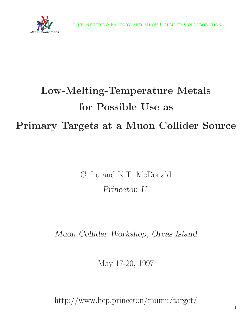

# **Low-Melting-Temperature Metals for Possible Use as Primary Targets at a Muon Collider Source**

C. Lu and K.T. McDonald *Princeton U.*

*Muon Collider Workshop, Orcas Island*

May 17-20, 1997

http://www.hep.princeton/mumu/target/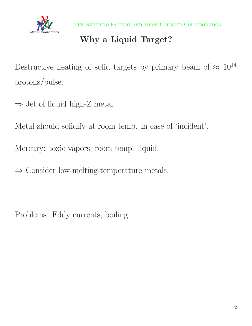

THE NEUTRINO FACTORY AND MUON COLLIDER COLLABORATION

## **Why a Liquid Target?**

Destructive heating of solid targets by primary beam of  $\approx 10^{14}$ protons/pulse.

 $\Rightarrow$  Jet of liquid high-Z metal.

Metal should solidify at room temp. in case of 'incident'.

Mercury: toxic vapors; room-temp. liquid.

⇒ Consider low-melting-temperature metals.

Problems: Eddy currents; boiling.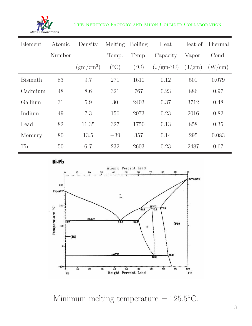

#### THE NEUTRINO FACTORY AND MUON COLLIDER COLLABORATION

| Element        | Atomic | Density        | Melting         | <b>Boiling</b>       | Heat                           | Heat of         | Thermal |
|----------------|--------|----------------|-----------------|----------------------|--------------------------------|-----------------|---------|
|                | Number |                | Temp.           | Temp.                | Capacity                       | Vapor.          | Cond.   |
|                |        | $\rm(gm/cm^3)$ | $({}^{\circ}C)$ | $(^\circ\mathrm{C})$ | $(\mathrm{J}/\mathrm{gm}$ -°C) | $(J/\text{gm})$ | (W/cm)  |
| <b>Bismuth</b> | 83     | 9.7            | 271             | 1610                 | 0.12                           | 501             | 0.079   |
| Cadmium        | 48     | 8.6            | 321             | 767                  | 0.23                           | 886             | 0.97    |
| Gallium        | 31     | 5.9            | 30              | 2403                 | 0.37                           | 3712            | 0.48    |
| Indium         | 49     | 7.3            | 156             | 2073                 | 0.23                           | 2016            | 0.82    |
| Lead           | 82     | 11.35          | 327             | 1750                 | 0.13                           | 858             | 0.35    |
| Mercury        | 80     | 13.5           | $-39$           | 357                  | 0.14                           | 295             | 0.083   |
| Tin            | 50     | $6 - 7$        | 232             | 2603                 | 0.23                           | 2487            | 0.67    |

Bi-Pb



Minimum melting temperature =  $125.5$ °C.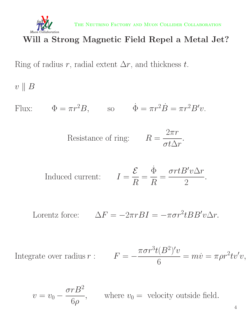

The Neutrino Factory and Muon Collider Collaboration

#### **Will a Strong Magnetic Field Repel a Metal Jet?**

Ring of radius r, radial extent  $\Delta r$ , and thickness t.

 $v \parallel B$ 

Flux:  $\Phi = \pi r^2 B$ , so  $\dot{\Phi} = \pi r^2 \dot{B} = \pi r^2 B' v$ .

Resistance of ring:  $R$ 

$$
R = \frac{2\pi r}{\sigma t \Delta r}.
$$

Induced current: 
$$
I = \frac{\mathcal{E}}{R} = \frac{\dot{\Phi}}{R} = \frac{\sigma r t B' v \Delta r}{2}
$$
.

Lorentz force: 
$$
\Delta F = -2\pi r B I = -\pi \sigma r^2 t B B' v \Delta r.
$$

Integrate over radius  $r$  :

$$
F = -\frac{\pi \sigma r^3 t (B^2)' v}{6} = m \dot{v} = \pi \rho r^2 t v' v,
$$

$$
v = v_0 - \frac{\sigma r B^2}{6\rho}
$$
, where  $v_0$  = velocity outside field.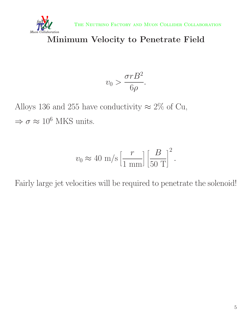



#### **Minimum Velocity to Penetrate Field**

$$
v_0 > \frac{\sigma r B^2}{6\rho}.
$$

Alloys 136 and 255 have conductivity  $\approx 2\%$  of Cu,  $\Rightarrow \sigma \approx 10^6$  MKS units.

$$
v_0 \approx 40 \text{ m/s} \left[ \frac{r}{1 \text{ mm}} \right] \left[ \frac{B}{50 \text{ T}} \right]^2.
$$

Fairly large jet velocities will be required to penetrate the solenoid!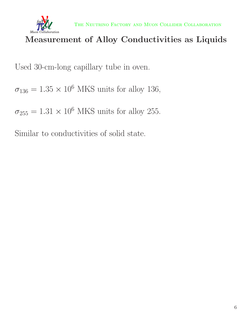

#### **Measurement of Alloy Conductivities as Liquids**

Used 30-cm-long capillary tube in oven.

 $\sigma_{136} = 1.35 \times 10^6$  MKS units for alloy 136,

 $\sigma_{255} = 1.31 \times 10^6$  MKS units for alloy 255.

Similar to conductivities of solid state.